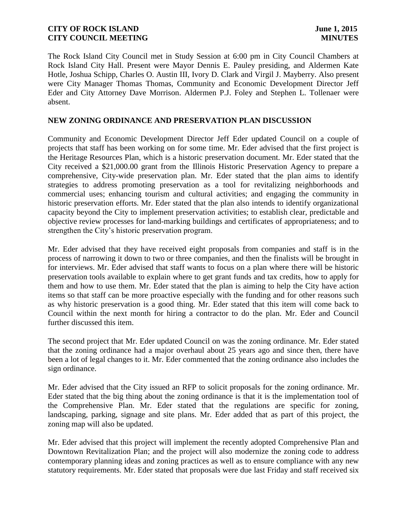The Rock Island City Council met in Study Session at 6:00 pm in City Council Chambers at Rock Island City Hall. Present were Mayor Dennis E. Pauley presiding, and Aldermen Kate Hotle, Joshua Schipp, Charles O. Austin III, Ivory D. Clark and Virgil J. Mayberry. Also present were City Manager Thomas Thomas, Community and Economic Development Director Jeff Eder and City Attorney Dave Morrison. Aldermen P.J. Foley and Stephen L. Tollenaer were absent.

# **NEW ZONING ORDINANCE AND PRESERVATION PLAN DISCUSSION**

Community and Economic Development Director Jeff Eder updated Council on a couple of projects that staff has been working on for some time. Mr. Eder advised that the first project is the Heritage Resources Plan, which is a historic preservation document. Mr. Eder stated that the City received a \$21,000.00 grant from the Illinois Historic Preservation Agency to prepare a comprehensive, City-wide preservation plan. Mr. Eder stated that the plan aims to identify strategies to address promoting preservation as a tool for revitalizing neighborhoods and commercial uses; enhancing tourism and cultural activities; and engaging the community in historic preservation efforts. Mr. Eder stated that the plan also intends to identify organizational capacity beyond the City to implement preservation activities; to establish clear, predictable and objective review processes for land-marking buildings and certificates of appropriateness; and to strengthen the City's historic preservation program.

Mr. Eder advised that they have received eight proposals from companies and staff is in the process of narrowing it down to two or three companies, and then the finalists will be brought in for interviews. Mr. Eder advised that staff wants to focus on a plan where there will be historic preservation tools available to explain where to get grant funds and tax credits, how to apply for them and how to use them. Mr. Eder stated that the plan is aiming to help the City have action items so that staff can be more proactive especially with the funding and for other reasons such as why historic preservation is a good thing. Mr. Eder stated that this item will come back to Council within the next month for hiring a contractor to do the plan. Mr. Eder and Council further discussed this item.

The second project that Mr. Eder updated Council on was the zoning ordinance. Mr. Eder stated that the zoning ordinance had a major overhaul about 25 years ago and since then, there have been a lot of legal changes to it. Mr. Eder commented that the zoning ordinance also includes the sign ordinance.

Mr. Eder advised that the City issued an RFP to solicit proposals for the zoning ordinance. Mr. Eder stated that the big thing about the zoning ordinance is that it is the implementation tool of the Comprehensive Plan. Mr. Eder stated that the regulations are specific for zoning, landscaping, parking, signage and site plans. Mr. Eder added that as part of this project, the zoning map will also be updated.

Mr. Eder advised that this project will implement the recently adopted Comprehensive Plan and Downtown Revitalization Plan; and the project will also modernize the zoning code to address contemporary planning ideas and zoning practices as well as to ensure compliance with any new statutory requirements. Mr. Eder stated that proposals were due last Friday and staff received six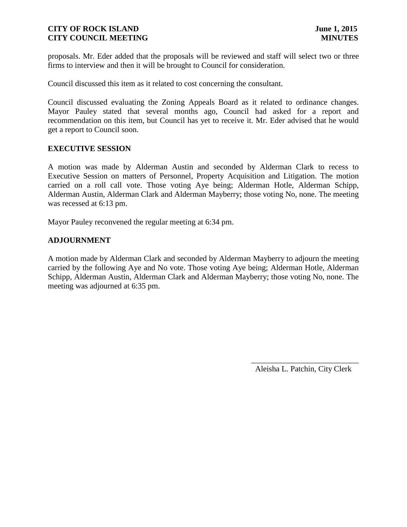proposals. Mr. Eder added that the proposals will be reviewed and staff will select two or three firms to interview and then it will be brought to Council for consideration.

Council discussed this item as it related to cost concerning the consultant.

Council discussed evaluating the Zoning Appeals Board as it related to ordinance changes. Mayor Pauley stated that several months ago, Council had asked for a report and recommendation on this item, but Council has yet to receive it. Mr. Eder advised that he would get a report to Council soon.

#### **EXECUTIVE SESSION**

A motion was made by Alderman Austin and seconded by Alderman Clark to recess to Executive Session on matters of Personnel, Property Acquisition and Litigation. The motion carried on a roll call vote. Those voting Aye being; Alderman Hotle, Alderman Schipp, Alderman Austin, Alderman Clark and Alderman Mayberry; those voting No, none. The meeting was recessed at 6:13 pm.

Mayor Pauley reconvened the regular meeting at 6:34 pm.

#### **ADJOURNMENT**

A motion made by Alderman Clark and seconded by Alderman Mayberry to adjourn the meeting carried by the following Aye and No vote. Those voting Aye being; Alderman Hotle, Alderman Schipp, Alderman Austin, Alderman Clark and Alderman Mayberry; those voting No, none. The meeting was adjourned at 6:35 pm.

Aleisha L. Patchin, City Clerk

 $\frac{1}{2}$  ,  $\frac{1}{2}$  ,  $\frac{1}{2}$  ,  $\frac{1}{2}$  ,  $\frac{1}{2}$  ,  $\frac{1}{2}$  ,  $\frac{1}{2}$  ,  $\frac{1}{2}$  ,  $\frac{1}{2}$  ,  $\frac{1}{2}$  ,  $\frac{1}{2}$  ,  $\frac{1}{2}$  ,  $\frac{1}{2}$  ,  $\frac{1}{2}$  ,  $\frac{1}{2}$  ,  $\frac{1}{2}$  ,  $\frac{1}{2}$  ,  $\frac{1}{2}$  ,  $\frac{1$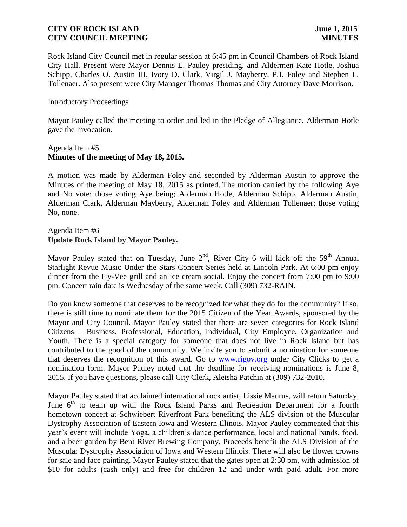Rock Island City Council met in regular session at 6:45 pm in Council Chambers of Rock Island City Hall. Present were Mayor Dennis E. Pauley presiding, and Aldermen Kate Hotle, Joshua Schipp, Charles O. Austin III, Ivory D. Clark, Virgil J. Mayberry, P.J. Foley and Stephen L. Tollenaer. Also present were City Manager Thomas Thomas and City Attorney Dave Morrison.

#### Introductory Proceedings

Mayor Pauley called the meeting to order and led in the Pledge of Allegiance. Alderman Hotle gave the Invocation.

#### Agenda Item #5 **Minutes of the meeting of May 18, 2015.**

A motion was made by Alderman Foley and seconded by Alderman Austin to approve the Minutes of the meeting of May 18, 2015 as printed. The motion carried by the following Aye and No vote; those voting Aye being; Alderman Hotle, Alderman Schipp, Alderman Austin, Alderman Clark, Alderman Mayberry, Alderman Foley and Alderman Tollenaer; those voting No, none.

## Agenda Item #6 **Update Rock Island by Mayor Pauley.**

Mayor Pauley stated that on Tuesday, June  $2<sup>nd</sup>$ , River City 6 will kick off the 59<sup>th</sup> Annual Starlight Revue Music Under the Stars Concert Series held at Lincoln Park. At 6:00 pm enjoy dinner from the Hy-Vee grill and an ice cream social. Enjoy the concert from 7:00 pm to 9:00 pm. Concert rain date is Wednesday of the same week. Call (309) 732-RAIN.

Do you know someone that deserves to be recognized for what they do for the community? If so, there is still time to nominate them for the 2015 Citizen of the Year Awards, sponsored by the Mayor and City Council. Mayor Pauley stated that there are seven categories for Rock Island Citizens – Business, Professional, Education, Individual, City Employee, Organization and Youth. There is a special category for someone that does not live in Rock Island but has contributed to the good of the community. We invite you to submit a nomination for someone that deserves the recognition of this award. Go to [www.rigov.org](http://www.rigov.org/) under City Clicks to get a nomination form. Mayor Pauley noted that the deadline for receiving nominations is June 8, 2015. If you have questions, please call City Clerk, Aleisha Patchin at (309) 732-2010.

Mayor Pauley stated that acclaimed international rock artist, Lissie Maurus, will return Saturday, June  $6<sup>th</sup>$  to team up with the Rock Island Parks and Recreation Department for a fourth hometown concert at Schwiebert Riverfront Park benefiting the ALS division of the Muscular Dystrophy Association of Eastern Iowa and Western Illinois. Mayor Pauley commented that this year's event will include Yoga, a children's dance performance, local and national bands, food, and a beer garden by Bent River Brewing Company. Proceeds benefit the ALS Division of the Muscular Dystrophy Association of Iowa and Western Illinois. There will also be flower crowns for sale and face painting. Mayor Pauley stated that the gates open at 2:30 pm, with admission of \$10 for adults (cash only) and free for children 12 and under with paid adult. For more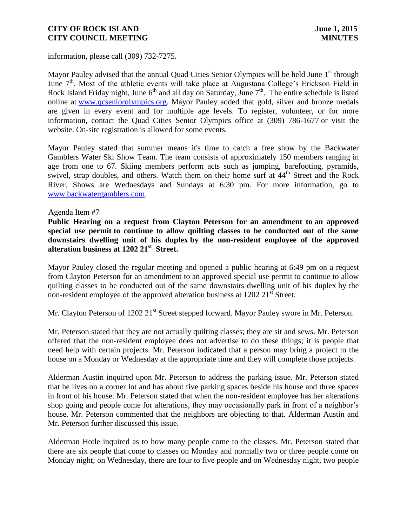information, please call (309) 732-7275.

Mayor Pauley advised that the annual Quad Cities Senior Olympics will be held June  $1<sup>st</sup>$  through June 7<sup>th</sup>. Most of the athletic events will take place at Augustana College's Erickson Field in Rock Island Friday night, June  $6<sup>th</sup>$  and all day on Saturday, June  $7<sup>th</sup>$ . The entire schedule is listed online at [www.qcseniorolympics.org.](http://www.qcseniorolympics.org/) Mayor Pauley added that gold, silver and bronze medals are given in every event and for multiple age levels. To register, volunteer, or for more information, contact the Quad Cities Senior Olympics office at (309) 786-1677 or visit the website. On-site registration is allowed for some events.

Mayor Pauley stated that summer means it's time to catch a free show by the Backwater Gamblers Water Ski Show Team. The team consists of approximately 150 members ranging in age from one to 67. Skiing members perform acts such as jumping, barefooting, pyramids, swivel, strap doubles, and others. Watch them on their home surf at  $44<sup>th</sup>$  Street and the Rock River. Shows are Wednesdays and Sundays at 6:30 pm. For more information, go to [www.backwatergamblers.com.](http://www.backwatergamblers.com/)

#### Agenda Item #7

**Public Hearing on a request from Clayton Peterson for an amendment to an approved special use permit to continue to allow quilting classes to be conducted out of the same downstairs dwelling unit of his duplex by the non-resident employee of the approved alteration business at 1202 21st Street.** 

Mayor Pauley closed the regular meeting and opened a public hearing at 6:49 pm on a request from Clayton Peterson for an amendment to an approved special use permit to continue to allow quilting classes to be conducted out of the same downstairs dwelling unit of his duplex by the non-resident employee of the approved alteration business at  $1202 \ 21<sup>st</sup>$  Street.

Mr. Clayton Peterson of 1202 21<sup>st</sup> Street stepped forward. Mayor Pauley swore in Mr. Peterson.

Mr. Peterson stated that they are not actually quilting classes; they are sit and sews. Mr. Peterson offered that the non-resident employee does not advertise to do these things; it is people that need help with certain projects. Mr. Peterson indicated that a person may bring a project to the house on a Monday or Wednesday at the appropriate time and they will complete those projects.

Alderman Austin inquired upon Mr. Peterson to address the parking issue. Mr. Peterson stated that he lives on a corner lot and has about five parking spaces beside his house and three spaces in front of his house. Mr. Peterson stated that when the non-resident employee has her alterations shop going and people come for alterations, they may occasionally park in front of a neighbor's house. Mr. Peterson commented that the neighbors are objecting to that. Alderman Austin and Mr. Peterson further discussed this issue.

Alderman Hotle inquired as to how many people come to the classes. Mr. Peterson stated that there are six people that come to classes on Monday and normally two or three people come on Monday night; on Wednesday, there are four to five people and on Wednesday night, two people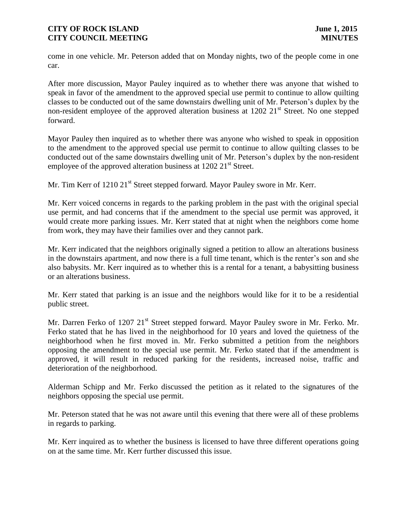come in one vehicle. Mr. Peterson added that on Monday nights, two of the people come in one car.

After more discussion, Mayor Pauley inquired as to whether there was anyone that wished to speak in favor of the amendment to the approved special use permit to continue to allow quilting classes to be conducted out of the same downstairs dwelling unit of Mr. Peterson's duplex by the non-resident employee of the approved alteration business at  $1202 \ 21<sup>st</sup>$  Street. No one stepped forward.

Mayor Pauley then inquired as to whether there was anyone who wished to speak in opposition to the amendment to the approved special use permit to continue to allow quilting classes to be conducted out of the same downstairs dwelling unit of Mr. Peterson's duplex by the non-resident employee of the approved alteration business at  $1202 21<sup>st</sup>$  Street.

Mr. Tim Kerr of 1210 21<sup>st</sup> Street stepped forward. Mayor Pauley swore in Mr. Kerr.

Mr. Kerr voiced concerns in regards to the parking problem in the past with the original special use permit, and had concerns that if the amendment to the special use permit was approved, it would create more parking issues. Mr. Kerr stated that at night when the neighbors come home from work, they may have their families over and they cannot park.

Mr. Kerr indicated that the neighbors originally signed a petition to allow an alterations business in the downstairs apartment, and now there is a full time tenant, which is the renter's son and she also babysits. Mr. Kerr inquired as to whether this is a rental for a tenant, a babysitting business or an alterations business.

Mr. Kerr stated that parking is an issue and the neighbors would like for it to be a residential public street.

Mr. Darren Ferko of 1207 21<sup>st</sup> Street stepped forward. Mayor Pauley swore in Mr. Ferko. Mr. Ferko stated that he has lived in the neighborhood for 10 years and loved the quietness of the neighborhood when he first moved in. Mr. Ferko submitted a petition from the neighbors opposing the amendment to the special use permit. Mr. Ferko stated that if the amendment is approved, it will result in reduced parking for the residents, increased noise, traffic and deterioration of the neighborhood.

Alderman Schipp and Mr. Ferko discussed the petition as it related to the signatures of the neighbors opposing the special use permit.

Mr. Peterson stated that he was not aware until this evening that there were all of these problems in regards to parking.

Mr. Kerr inquired as to whether the business is licensed to have three different operations going on at the same time. Mr. Kerr further discussed this issue.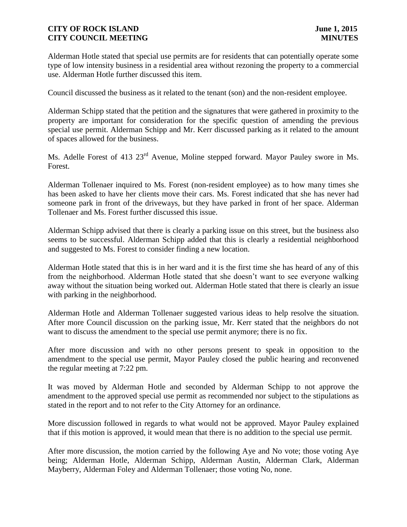Alderman Hotle stated that special use permits are for residents that can potentially operate some type of low intensity business in a residential area without rezoning the property to a commercial use. Alderman Hotle further discussed this item.

Council discussed the business as it related to the tenant (son) and the non-resident employee.

Alderman Schipp stated that the petition and the signatures that were gathered in proximity to the property are important for consideration for the specific question of amending the previous special use permit. Alderman Schipp and Mr. Kerr discussed parking as it related to the amount of spaces allowed for the business.

Ms. Adelle Forest of 413 23<sup>rd</sup> Avenue, Moline stepped forward. Mayor Pauley swore in Ms. Forest.

Alderman Tollenaer inquired to Ms. Forest (non-resident employee) as to how many times she has been asked to have her clients move their cars. Ms. Forest indicated that she has never had someone park in front of the driveways, but they have parked in front of her space. Alderman Tollenaer and Ms. Forest further discussed this issue.

Alderman Schipp advised that there is clearly a parking issue on this street, but the business also seems to be successful. Alderman Schipp added that this is clearly a residential neighborhood and suggested to Ms. Forest to consider finding a new location.

Alderman Hotle stated that this is in her ward and it is the first time she has heard of any of this from the neighborhood. Alderman Hotle stated that she doesn't want to see everyone walking away without the situation being worked out. Alderman Hotle stated that there is clearly an issue with parking in the neighborhood.

Alderman Hotle and Alderman Tollenaer suggested various ideas to help resolve the situation. After more Council discussion on the parking issue, Mr. Kerr stated that the neighbors do not want to discuss the amendment to the special use permit anymore; there is no fix.

After more discussion and with no other persons present to speak in opposition to the amendment to the special use permit, Mayor Pauley closed the public hearing and reconvened the regular meeting at 7:22 pm.

It was moved by Alderman Hotle and seconded by Alderman Schipp to not approve the amendment to the approved special use permit as recommended nor subject to the stipulations as stated in the report and to not refer to the City Attorney for an ordinance.

More discussion followed in regards to what would not be approved. Mayor Pauley explained that if this motion is approved, it would mean that there is no addition to the special use permit.

After more discussion, the motion carried by the following Aye and No vote; those voting Aye being; Alderman Hotle, Alderman Schipp, Alderman Austin, Alderman Clark, Alderman Mayberry, Alderman Foley and Alderman Tollenaer; those voting No, none.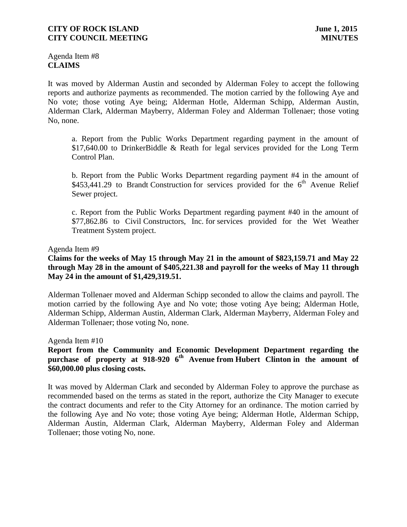Agenda Item #8 **CLAIMS**

It was moved by Alderman Austin and seconded by Alderman Foley to accept the following reports and authorize payments as recommended. The motion carried by the following Aye and No vote; those voting Aye being; Alderman Hotle, Alderman Schipp, Alderman Austin, Alderman Clark, Alderman Mayberry, Alderman Foley and Alderman Tollenaer; those voting No, none.

a. Report from the Public Works Department regarding payment in the amount of \$17,640.00 to DrinkerBiddle & Reath for legal services provided for the Long Term Control Plan.

b. Report from the Public Works Department regarding payment #4 in the amount of  $$453,441.29$  to Brandt Construction for services provided for the 6<sup>th</sup> Avenue Relief Sewer project.

c. Report from the Public Works Department regarding payment #40 in the amount of \$77,862.86 to Civil Constructors, Inc. for services provided for the Wet Weather Treatment System project.

#### Agenda Item #9

## **Claims for the weeks of May 15 through May 21 in the amount of \$823,159.71 and May 22 through May 28 in the amount of \$405,221.38 and payroll for the weeks of May 11 through May 24 in the amount of \$1,429,319.51.**

Alderman Tollenaer moved and Alderman Schipp seconded to allow the claims and payroll. The motion carried by the following Aye and No vote; those voting Aye being; Alderman Hotle, Alderman Schipp, Alderman Austin, Alderman Clark, Alderman Mayberry, Alderman Foley and Alderman Tollenaer; those voting No, none.

Agenda Item #10

# **Report from the Community and Economic Development Department regarding the purchase of property at 918-920 6th Avenue from Hubert Clinton in the amount of \$60,000.00 plus closing costs.**

It was moved by Alderman Clark and seconded by Alderman Foley to approve the purchase as recommended based on the terms as stated in the report, authorize the City Manager to execute the contract documents and refer to the City Attorney for an ordinance. The motion carried by the following Aye and No vote; those voting Aye being; Alderman Hotle, Alderman Schipp, Alderman Austin, Alderman Clark, Alderman Mayberry, Alderman Foley and Alderman Tollenaer; those voting No, none.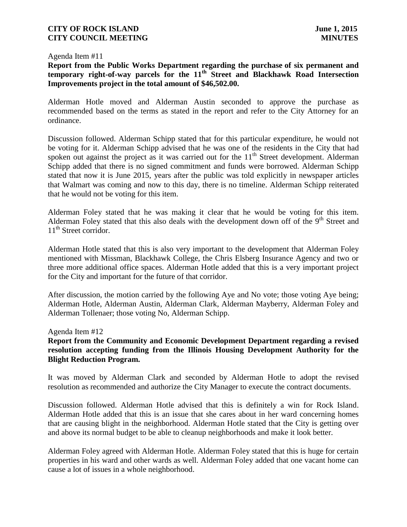#### Agenda Item #11

# **Report from the Public Works Department regarding the purchase of six permanent and temporary right-of-way parcels for the 11th Street and Blackhawk Road Intersection Improvements project in the total amount of \$46,502.00.**

Alderman Hotle moved and Alderman Austin seconded to approve the purchase as recommended based on the terms as stated in the report and refer to the City Attorney for an ordinance.

Discussion followed. Alderman Schipp stated that for this particular expenditure, he would not be voting for it. Alderman Schipp advised that he was one of the residents in the City that had spoken out against the project as it was carried out for the  $11<sup>th</sup>$  Street development. Alderman Schipp added that there is no signed commitment and funds were borrowed. Alderman Schipp stated that now it is June 2015, years after the public was told explicitly in newspaper articles that Walmart was coming and now to this day, there is no timeline. Alderman Schipp reiterated that he would not be voting for this item.

Alderman Foley stated that he was making it clear that he would be voting for this item. Alderman Foley stated that this also deals with the development down off of the  $9<sup>th</sup>$  Street and 11<sup>th</sup> Street corridor.

Alderman Hotle stated that this is also very important to the development that Alderman Foley mentioned with Missman, Blackhawk College, the Chris Elsberg Insurance Agency and two or three more additional office spaces. Alderman Hotle added that this is a very important project for the City and important for the future of that corridor.

After discussion, the motion carried by the following Aye and No vote; those voting Aye being; Alderman Hotle, Alderman Austin, Alderman Clark, Alderman Mayberry, Alderman Foley and Alderman Tollenaer; those voting No, Alderman Schipp.

#### Agenda Item #12

# **Report from the Community and Economic Development Department regarding a revised resolution accepting funding from the Illinois Housing Development Authority for the Blight Reduction Program.**

It was moved by Alderman Clark and seconded by Alderman Hotle to adopt the revised resolution as recommended and authorize the City Manager to execute the contract documents.

Discussion followed. Alderman Hotle advised that this is definitely a win for Rock Island. Alderman Hotle added that this is an issue that she cares about in her ward concerning homes that are causing blight in the neighborhood. Alderman Hotle stated that the City is getting over and above its normal budget to be able to cleanup neighborhoods and make it look better.

Alderman Foley agreed with Alderman Hotle. Alderman Foley stated that this is huge for certain properties in his ward and other wards as well. Alderman Foley added that one vacant home can cause a lot of issues in a whole neighborhood.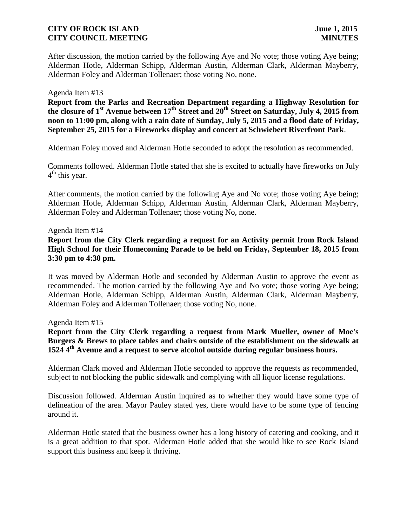After discussion, the motion carried by the following Aye and No vote; those voting Aye being; Alderman Hotle, Alderman Schipp, Alderman Austin, Alderman Clark, Alderman Mayberry, Alderman Foley and Alderman Tollenaer; those voting No, none.

#### Agenda Item #13

**Report from the Parks and Recreation Department regarding a Highway Resolution for the closure of 1st Avenue between 17th Street and 20th Street on Saturday, July 4, 2015 from noon to 11:00 pm, along with a rain date of Sunday, July 5, 2015 and a flood date of Friday, September 25, 2015 for a Fireworks display and concert at Schwiebert Riverfront Park**.

Alderman Foley moved and Alderman Hotle seconded to adopt the resolution as recommended.

Comments followed. Alderman Hotle stated that she is excited to actually have fireworks on July 4<sup>th</sup> this year.

After comments, the motion carried by the following Aye and No vote; those voting Aye being; Alderman Hotle, Alderman Schipp, Alderman Austin, Alderman Clark, Alderman Mayberry, Alderman Foley and Alderman Tollenaer; those voting No, none.

#### Agenda Item #14

# **Report from the City Clerk regarding a request for an Activity permit from Rock Island High School for their Homecoming Parade to be held on Friday, September 18, 2015 from 3:30 pm to 4:30 pm.**

It was moved by Alderman Hotle and seconded by Alderman Austin to approve the event as recommended. The motion carried by the following Aye and No vote; those voting Aye being; Alderman Hotle, Alderman Schipp, Alderman Austin, Alderman Clark, Alderman Mayberry, Alderman Foley and Alderman Tollenaer; those voting No, none.

Agenda Item #15

**Report from the City Clerk regarding a request from Mark Mueller, owner of Moe's Burgers & Brews to place tables and chairs outside of the establishment on the sidewalk at 1524 4th Avenue and a request to serve alcohol outside during regular business hours.**

Alderman Clark moved and Alderman Hotle seconded to approve the requests as recommended, subject to not blocking the public sidewalk and complying with all liquor license regulations.

Discussion followed. Alderman Austin inquired as to whether they would have some type of delineation of the area. Mayor Pauley stated yes, there would have to be some type of fencing around it.

Alderman Hotle stated that the business owner has a long history of catering and cooking, and it is a great addition to that spot. Alderman Hotle added that she would like to see Rock Island support this business and keep it thriving.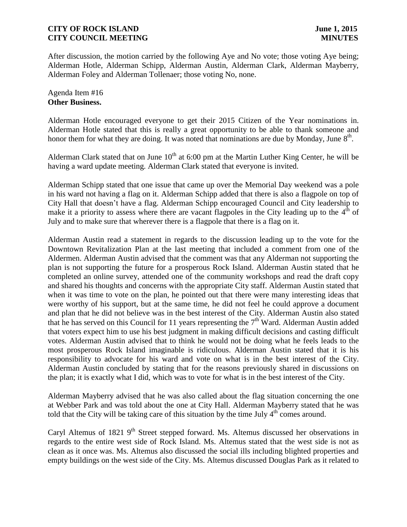After discussion, the motion carried by the following Aye and No vote; those voting Aye being; Alderman Hotle, Alderman Schipp, Alderman Austin, Alderman Clark, Alderman Mayberry, Alderman Foley and Alderman Tollenaer; those voting No, none.

#### Agenda Item #16 **Other Business.**

Alderman Hotle encouraged everyone to get their 2015 Citizen of the Year nominations in. Alderman Hotle stated that this is really a great opportunity to be able to thank someone and honor them for what they are doing. It was noted that nominations are due by Monday, June  $8<sup>th</sup>$ .

Alderman Clark stated that on June  $10^{th}$  at 6:00 pm at the Martin Luther King Center, he will be having a ward update meeting. Alderman Clark stated that everyone is invited.

Alderman Schipp stated that one issue that came up over the Memorial Day weekend was a pole in his ward not having a flag on it. Alderman Schipp added that there is also a flagpole on top of City Hall that doesn't have a flag. Alderman Schipp encouraged Council and City leadership to make it a priority to assess where there are vacant flagpoles in the City leading up to the  $4<sup>th</sup>$  of July and to make sure that wherever there is a flagpole that there is a flag on it.

Alderman Austin read a statement in regards to the discussion leading up to the vote for the Downtown Revitalization Plan at the last meeting that included a comment from one of the Aldermen. Alderman Austin advised that the comment was that any Alderman not supporting the plan is not supporting the future for a prosperous Rock Island. Alderman Austin stated that he completed an online survey, attended one of the community workshops and read the draft copy and shared his thoughts and concerns with the appropriate City staff. Alderman Austin stated that when it was time to vote on the plan, he pointed out that there were many interesting ideas that were worthy of his support, but at the same time, he did not feel he could approve a document and plan that he did not believe was in the best interest of the City. Alderman Austin also stated that he has served on this Council for 11 years representing the  $7<sup>th</sup>$  Ward. Alderman Austin added that voters expect him to use his best judgment in making difficult decisions and casting difficult votes. Alderman Austin advised that to think he would not be doing what he feels leads to the most prosperous Rock Island imaginable is ridiculous. Alderman Austin stated that it is his responsibility to advocate for his ward and vote on what is in the best interest of the City. Alderman Austin concluded by stating that for the reasons previously shared in discussions on the plan; it is exactly what I did, which was to vote for what is in the best interest of the City.

Alderman Mayberry advised that he was also called about the flag situation concerning the one at Webber Park and was told about the one at City Hall. Alderman Mayberry stated that he was told that the City will be taking care of this situation by the time July  $4<sup>th</sup>$  comes around.

Caryl Altemus of 1821  $9<sup>th</sup>$  Street stepped forward. Ms. Altemus discussed her observations in regards to the entire west side of Rock Island. Ms. Altemus stated that the west side is not as clean as it once was. Ms. Altemus also discussed the social ills including blighted properties and empty buildings on the west side of the City. Ms. Altemus discussed Douglas Park as it related to